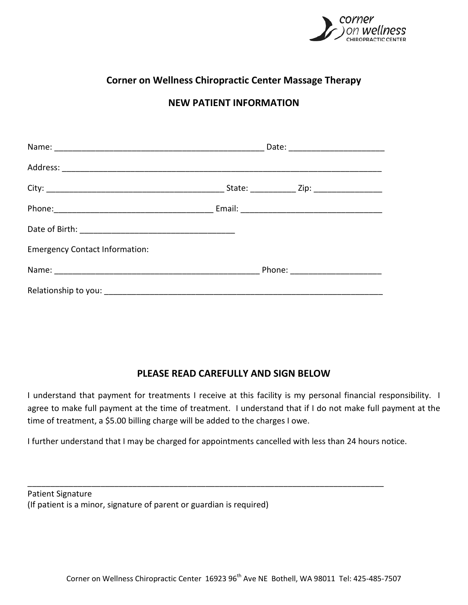

# **Corner on Wellness Chiropractic Center Massage Therapy**

## **NEW PATIENT INFORMATION**

| <b>Emergency Contact Information:</b> |                                  |  |
|---------------------------------------|----------------------------------|--|
|                                       | Phone: _________________________ |  |
|                                       |                                  |  |

## **PLEASE READ CAREFULLY AND SIGN BELOW**

I understand that payment for treatments I receive at this facility is my personal financial responsibility. I agree to make full payment at the time of treatment. I understand that if I do not make full payment at the time of treatment, a \$5.00 billing charge will be added to the charges I owe.

I further understand that I may be charged for appointments cancelled with less than 24 hours notice.

\_\_\_\_\_\_\_\_\_\_\_\_\_\_\_\_\_\_\_\_\_\_\_\_\_\_\_\_\_\_\_\_\_\_\_\_\_\_\_\_\_\_\_\_\_\_\_\_\_\_\_\_\_\_\_\_\_\_\_\_\_\_\_\_\_\_\_\_\_\_\_\_\_\_\_\_\_\_

Patient Signature (If patient is a minor, signature of parent or guardian is required)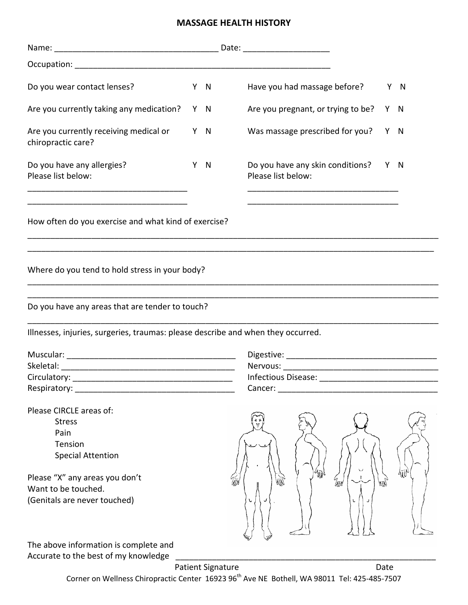#### **MASSAGE HEALTH HISTORY**

| Do you wear contact lenses?                                                                                                                                                                                                    | Y N | Have you had massage before?                           |    | Y N |
|--------------------------------------------------------------------------------------------------------------------------------------------------------------------------------------------------------------------------------|-----|--------------------------------------------------------|----|-----|
| Are you currently taking any medication?                                                                                                                                                                                       | Y N | Are you pregnant, or trying to be?                     |    | Y N |
| Are you currently receiving medical or<br>chiropractic care?                                                                                                                                                                   | Y N | Was massage prescribed for you?                        |    | Y N |
| Do you have any allergies?<br>Please list below:                                                                                                                                                                               | Y N | Do you have any skin conditions?<br>Please list below: |    | Y N |
| How often do you exercise and what kind of exercise?                                                                                                                                                                           |     |                                                        |    |     |
| Where do you tend to hold stress in your body?                                                                                                                                                                                 |     |                                                        |    |     |
| Do you have any areas that are tender to touch?                                                                                                                                                                                |     |                                                        |    |     |
| Illnesses, injuries, surgeries, traumas: please describe and when they occurred.                                                                                                                                               |     |                                                        |    |     |
|                                                                                                                                                                                                                                |     |                                                        |    |     |
| Skeletal:                                                                                                                                                                                                                      |     |                                                        |    |     |
| Circulatory:                                                                                                                                                                                                                   |     | Infectious Disease:                                    |    |     |
| Respiratory: the contract of the contract of the contract of the contract of the contract of the contract of the contract of the contract of the contract of the contract of the contract of the contract of the contract of t |     | Cancer: _                                              |    |     |
| Please CIRCLE areas of:                                                                                                                                                                                                        |     |                                                        |    |     |
| <b>Stress</b>                                                                                                                                                                                                                  |     |                                                        |    |     |
| Pain                                                                                                                                                                                                                           |     |                                                        |    |     |
| Tension                                                                                                                                                                                                                        |     |                                                        |    |     |
| <b>Special Attention</b>                                                                                                                                                                                                       |     |                                                        |    |     |
|                                                                                                                                                                                                                                |     |                                                        |    |     |
| Please "X" any areas you don't                                                                                                                                                                                                 |     | 娜<br>lHe                                               | щĺ |     |
| Want to be touched.<br>(Genitals are never touched)                                                                                                                                                                            |     |                                                        |    |     |
|                                                                                                                                                                                                                                |     |                                                        |    |     |
| The above information is complete and                                                                                                                                                                                          |     |                                                        |    |     |

Accurate to the best of my knowledge \_\_\_\_\_\_\_\_\_\_\_\_\_\_\_\_\_\_\_\_\_\_\_\_\_\_\_\_\_\_\_\_\_\_\_\_\_\_\_\_\_\_\_\_\_\_\_\_\_\_\_\_\_\_\_\_\_